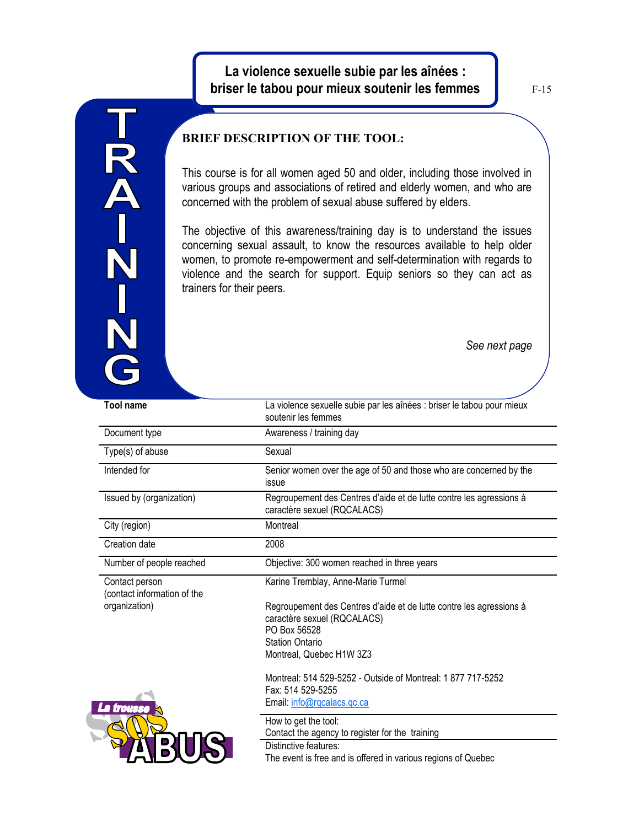## **La violence sexuelle subie par les aînées : briser le tabou pour mieux soutenir les femmes**

F-15

## 

## **BRIEF DESCRIPTION OF THE TOOL:**

This course is for all women aged 50 and older, including those involved in various groups and associations of retired and elderly women, and who are concerned with the problem of sexual abuse suffered by elders.

The objective of this awareness/training day is to understand the issues concerning sexual assault, to know the resources available to help older women, to promote re-empowerment and self-determination with regards to violence and the search for support. Equip seniors so they can act as trainers for their peers.

*See next page*

| <b>Tool name</b>                                                          | La violence sexuelle subie par les aînées : briser le tabou pour mieux<br>soutenir les femmes                      |
|---------------------------------------------------------------------------|--------------------------------------------------------------------------------------------------------------------|
| Document type                                                             | Awareness / training day                                                                                           |
| Type(s) of abuse                                                          | Sexual                                                                                                             |
| Intended for                                                              | Senior women over the age of 50 and those who are concerned by the<br>issue                                        |
| Issued by (organization)                                                  | Regroupement des Centres d'aide et de lutte contre les agressions à<br>caractère sexuel (RQCALACS)                 |
| City (region)                                                             | Montreal                                                                                                           |
| Creation date                                                             | 2008                                                                                                               |
| Number of people reached                                                  | Objective: 300 women reached in three years                                                                        |
| Contact person<br>(contact information of the<br>organization)<br>trousse | Karine Tremblay, Anne-Marie Turmel                                                                                 |
|                                                                           | Regroupement des Centres d'aide et de lutte contre les agressions à<br>caractère sexuel (RQCALACS)<br>PO Box 56528 |
|                                                                           | <b>Station Ontario</b>                                                                                             |
|                                                                           | Montreal, Quebec H1W 3Z3                                                                                           |
|                                                                           | Montreal: 514 529-5252 - Outside of Montreal: 1877 717-5252<br>Fax: 514 529-5255                                   |
|                                                                           | Email: info@rqcalacs.qc.ca                                                                                         |
|                                                                           | How to get the tool:<br>Contact the agency to register for the training                                            |
|                                                                           | Distinctive features:<br>The event is free and is offered in various regions of Quebec                             |